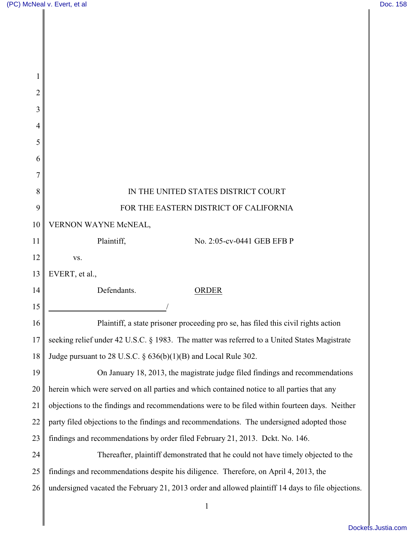║

| $\overline{2}$ |                                                                                                   |
|----------------|---------------------------------------------------------------------------------------------------|
| 3              |                                                                                                   |
| 4              |                                                                                                   |
| 5              |                                                                                                   |
| 6              |                                                                                                   |
| 7              |                                                                                                   |
| 8              | IN THE UNITED STATES DISTRICT COURT                                                               |
| 9              | FOR THE EASTERN DISTRICT OF CALIFORNIA                                                            |
| 10             | VERNON WAYNE McNEAL,                                                                              |
| 11             | Plaintiff,<br>No. 2:05-cv-0441 GEB EFB P                                                          |
| 12             | VS.                                                                                               |
| 13             | EVERT, et al.,                                                                                    |
| 14             | Defendants.<br><b>ORDER</b>                                                                       |
| 15             |                                                                                                   |
| 16             | Plaintiff, a state prisoner proceeding pro se, has filed this civil rights action                 |
| 17             | seeking relief under 42 U.S.C. § 1983. The matter was referred to a United States Magistrate      |
| 18             | Judge pursuant to 28 U.S.C. $\S$ 636(b)(1)(B) and Local Rule 302.                                 |
| 19             | On January 18, 2013, the magistrate judge filed findings and recommendations                      |
| 20             | herein which were served on all parties and which contained notice to all parties that any        |
| 21             | objections to the findings and recommendations were to be filed within fourteen days. Neither     |
| 22             | party filed objections to the findings and recommendations. The undersigned adopted those         |
| 23             | findings and recommendations by order filed February 21, 2013. Dckt. No. 146.                     |
| 24             | Thereafter, plaintiff demonstrated that he could not have timely objected to the                  |
| 25             | findings and recommendations despite his diligence. Therefore, on April 4, 2013, the              |
| 26             | undersigned vacated the February 21, 2013 order and allowed plaintiff 14 days to file objections. |
|                | 1                                                                                                 |